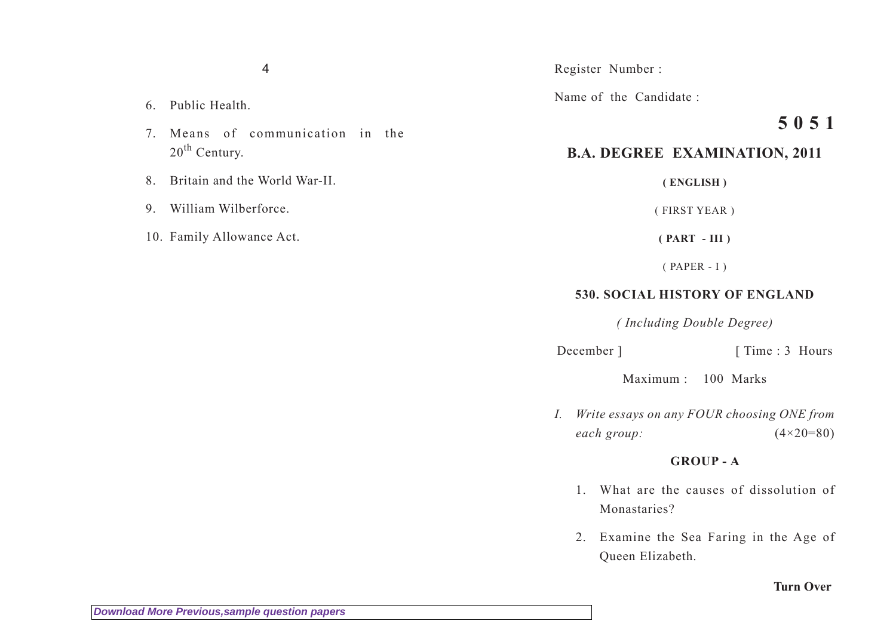4

- 6. Public Health.
- 7. Means of communication in the 20<sup>th</sup> Century.
- 8. Britain and the World War-II.
- 9. William Wilberforce.
- 10. Family Allowance Act.

#### Register Number :

Name of the Candidate :

# **5 0 5 1**

## **B.A. DEGREE EXAMINATION, 2011**

**( ENGLISH )**

( FIRST YEAR )

**( PART - III )**

( PAPER - I )

### **530. SOCIAL HISTORY OF ENGLAND**

*( Including Double Degree)*

December ] [ Time : 3 Hours

Maximum : 100 Marks

*I. Write essays on any FOUR choosing ONE from each group:* (4×20=80)

#### **GROUP - A**

- 1. What are the causes of dissolution of Monastaries?
- 2. Examine the Sea Faring in the Age of Queen Elizabeth.

#### **Turn Over**